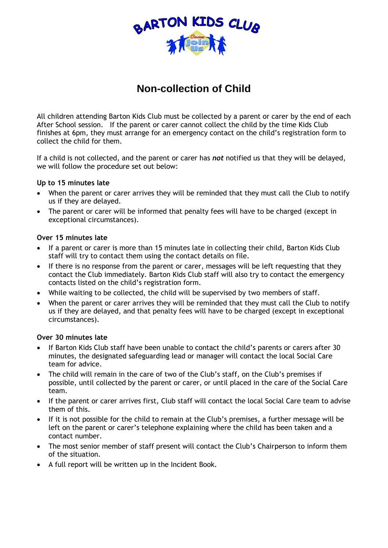

# **Non-collection of Child**

All children attending Barton Kids Club must be collected by a parent or carer by the end of each After School session. If the parent or carer cannot collect the child by the time Kids Club finishes at 6pm, they must arrange for an emergency contact on the child's registration form to collect the child for them.

If a child is not collected, and the parent or carer has *not* notified us that they will be delayed, we will follow the procedure set out below:

## **Up to 15 minutes late**

- When the parent or carer arrives they will be reminded that they must call the Club to notify us if they are delayed.
- The parent or carer will be informed that penalty fees will have to be charged (except in exceptional circumstances).

### **Over 15 minutes late**

- If a parent or carer is more than 15 minutes late in collecting their child, Barton Kids Club staff will try to contact them using the contact details on file.
- If there is no response from the parent or carer, messages will be left requesting that they contact the Club immediately. Barton Kids Club staff will also try to contact the emergency contacts listed on the child's registration form.
- While waiting to be collected, the child will be supervised by two members of staff.
- When the parent or carer arrives they will be reminded that they must call the Club to notify us if they are delayed, and that penalty fees will have to be charged (except in exceptional circumstances).

#### **Over 30 minutes late**

- If Barton Kids Club staff have been unable to contact the child's parents or carers after 30 minutes, the designated safeguarding lead or manager will contact the local Social Care team for advice.
- The child will remain in the care of two of the Club's staff, on the Club's premises if possible, until collected by the parent or carer, or until placed in the care of the Social Care team.
- If the parent or carer arrives first, Club staff will contact the local Social Care team to advise them of this.
- If it is not possible for the child to remain at the Club's premises, a further message will be left on the parent or carer's telephone explaining where the child has been taken and a contact number.
- The most senior member of staff present will contact the Club's Chairperson to inform them of the situation.
- A full report will be written up in the Incident Book.